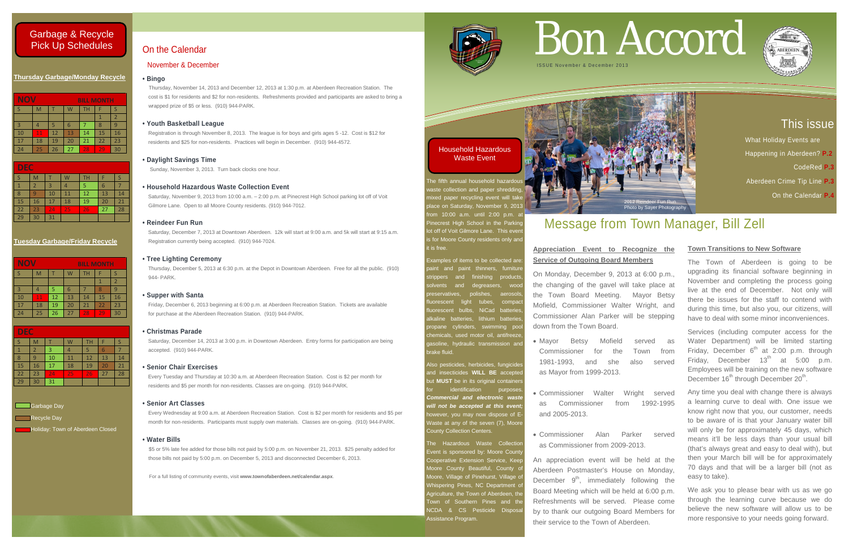# This issue

 What Holiday Events are Happening in Aberdeen? **P.2**  CodeRed **P.3** Aberdeen Crime Tip Line **P.3** On the Calendar **P.4**

# **Thursday Garbage/Monday Recycle**

| <b>NOV</b>     |    |    |    | <b>BILL MONTH</b> |    |    |
|----------------|----|----|----|-------------------|----|----|
| -S             | M  |    | W  | TН                | F  |    |
|                |    |    |    |                   |    | 2  |
| $\overline{3}$ |    |    | 6  |                   | 8  | q  |
| 10             | 11 | 12 | 13 | 14                | 15 | 16 |
| 17             | 18 | 19 | 20 | 21                | 22 | 23 |
| 24             | 25 | 26 | 27 | 28                | 29 | 30 |

| <b>DEC</b> |    |    |    |    |    |    |  |
|------------|----|----|----|----|----|----|--|
|            | M  |    |    | TН |    |    |  |
|            | 2  | 3  |    | 5  | 6  |    |  |
| 8          |    | 10 | 11 | 12 | 13 | 14 |  |
| 15         | 16 | 17 | 18 | 19 | 20 | 21 |  |
| 22         | 23 | 24 | 25 | 26 | 27 | 28 |  |
| 29         | 30 | 31 |    |    |    |    |  |

# **Tuesday Garbage/Friday Recycle**

| NOV<br><b>BILL MONTH</b> |    |    |    |           |    |    |
|--------------------------|----|----|----|-----------|----|----|
|                          | M  |    | W  | <b>TH</b> | F  |    |
|                          |    |    |    |           |    | 2  |
| 3                        |    | 5  | 6  |           | 8  | q  |
| 10                       | 11 | 12 | 13 | 14        | 15 | 16 |
| 17                       | 18 | 19 | 20 | 21        | 22 | 23 |
| 24                       | 25 | 26 | 27 | 28        | 79 | 30 |

he fifth annual household haza aste collection and paper shredding ed paper recycling event will take ace on Saturday, November 9, 2013 om 10:00 a.m. until 2:00 p.m. at necrest High School in the Parking ot off of Voit Gilmore Lane. This even s for Moore County residents only and it is free.

| <b>DEC</b> |                |    |    |           |    |    |
|------------|----------------|----|----|-----------|----|----|
|            | M              |    |    | <b>TH</b> |    |    |
|            | $\overline{2}$ | 3  |    | 5         |    |    |
| 8          | q              | 10 | 11 | 12        | 13 | 14 |
| 15         | 16             | 17 | 18 | 19        | 20 | 21 |
| 22         | 23             | 24 | 25 | 26        | 27 | 28 |
| 29         | 30             | 31 |    |           |    |    |

# **Garbage Day**

Recycle Day

**Holiday: Town of Aberdeen Closed** 

The Hazardous Waste Collection Event is sponsored by: Moore Count Cooperative Extension Service, Keer Aoore County Beautiful, County of loore, Village of Pinehurst, Village o Vhispering Pines, NC Department o *Agriculture, the Town of Aberdeen, the* Fown of Southern Pines and the **NCDA & CS Pesticide Disposal** Assistance Program.



Examples of items to be collected are: vaint and paint thinners, furnitur trippers and finishing products and degreasers, woo polishes, aerosol light tubes, compact nt bulbs, NiCad batteries batteries, lithium batterie ropane cylinders, swimming poo hemicals, used motor oil, antifreeze asoline, hydraulic transmission an brake fluid.

Also pesticides, herbicides, fungicides and insecticides **WILL BE** accepte ut **MUST** be in its original container identification purposes *Commercial and electronic waste*  will not be accepted at this event owever, you may now dispose of E Waste at any of the seven (7), Moore County Collection Centers.

Saturday, December 14, 2013 at 3:00 p.m. in Downtown Aberdeen. Entry forms for participation are being accepted. (910) 944-PARK.

For a full listing of community events, visit **www.townofaberdeen.net/calendar.aspx**.



# On the Calendar

# November & December

# **• Bingo**

Thursday, November 14, 2013 and December 12, 2013 at 1:30 p.m. at Aberdeen Recreation Station. The cost is \$1 for residents and \$2 for non-residents. Refreshments provided and participants are asked to bring a wrapped prize of \$5 or less. (910) 944-PARK.

# **• Youth Basketball League**

 Registration is through November 8, 2013. The league is for boys and girls ages 5 -12. Cost is \$12 for residents and \$25 for non-residents. Practices will begin in December. (910) 944-4572.

# **• Daylight Savings Time**

Sunday, November 3, 2013. Turn back clocks one hour.

Services (including computer access for the Water Department) will be limited starting Friday, December  $6<sup>th</sup>$  at 2:00 p.m. through Friday, December  $13<sup>th</sup>$  at 5:00 p.m. Employees will be training on the new software December  $16<sup>th</sup>$  through December  $20<sup>th</sup>$ .

# **• Household Hazardous Waste Collection Event**

Saturday, November 9, 2013 from 10:00 a.m. – 2:00 p.m. at Pinecrest High School parking lot off of Voit Gilmore Lane. Open to all Moore County residents. (910) 944-7012.

# **• Reindeer Fun Run**

Saturday, December 7, 2013 at Downtown Aberdeen. 12k will start at 9:00 a.m. and 5k will start at 9:15 a.m. Registration currently being accepted. (910) 944-7024.

# **• Tree Lighting Ceremony**

Thursday, December 5, 2013 at 6:30 p.m. at the Depot in Downtown Aberdeen. Free for all the public. (910) 944- PARK.

# **• Supper with Santa**

Friday, December 6, 2013 beginning at 6:00 p.m. at Aberdeen Recreation Station. Tickets are available for purchase at the Aberdeen Recreation Station. (910) 944-PARK.

# **• Christmas Parade**

# **• Senior Chair Exercises**

Every Tuesday and Thursday at 10:30 a.m. at Aberdeen Recreation Station. Cost is \$2 per month for residents and \$5 per month for non-residents. Classes are on-going. (910) 944-PARK.

# **• Senior Art Classes**

 Every Wednesday at 9:00 a.m. at Aberdeen Recreation Station. Cost is \$2 per month for residents and \$5 per month for non-residents. Participants must supply own materials. Classes are on-going. (910) 944-PARK.

# **• Water Bills**

\$5 or 5% late fee added for those bills not paid by 5:00 p.m. on November 21, 2013. \$25 penalty added for those bills not paid by 5:00 p.m. on December 5, 2013 and disconnected December 6, 2013.

# Bon Accord



# Message from Town Manager, Bill Zell

# **Appreciation Event to Recognize the Service of Outgoing Board Members**

On Monday, December 9, 2013 at 6:00 p.m., the changing of the gavel will take place at the Town Board Meeting. Mayor Betsy Mofield, Commissioner Walter Wright, and Commissioner Alan Parker will be stepping down from the Town Board.

- Mayor Betsy Mofield served as Commissioner for the Town from 1981-1993, and she also served as Mayor from 1999-2013.
- Commissioner Walter Wright served as Commissioner from 1992-1995 and 2005-2013.
- Commissioner Alan Parker served as Commissioner from 2009-2013.

An appreciation event will be held at the Aberdeen Postmaster's House on Monday, December  $9<sup>th</sup>$ , immediately following the Board Meeting which will be held at 6:00 p.m. Refreshments will be served. Please come by to thank our outgoing Board Members for their service to the Town of Aberdeen.

# **Town Transitions to New Software**

The Town of Aberdeen is going to be upgrading its financial software beginning in November and completing the process going live at the end of December. Not only will there be issues for the staff to contend with during this time, but also you, our citizens, will have to deal with some minor inconveniences.

Any time you deal with change there is always a learning curve to deal with. One issue we know right now that you, our customer, needs to be aware of is that your January water bill will only be for approximately 45 days, which means it'll be less days than your usual bill (that's always great and easy to deal with), but then your March bill will be for approximately 70 days and that will be a larger bill (not as easy to take).

We ask you to please bear with us as we go through the learning curve because we do believe the new software will allow us to be more responsive to your needs going forward.





Household Hazardous Waste Event